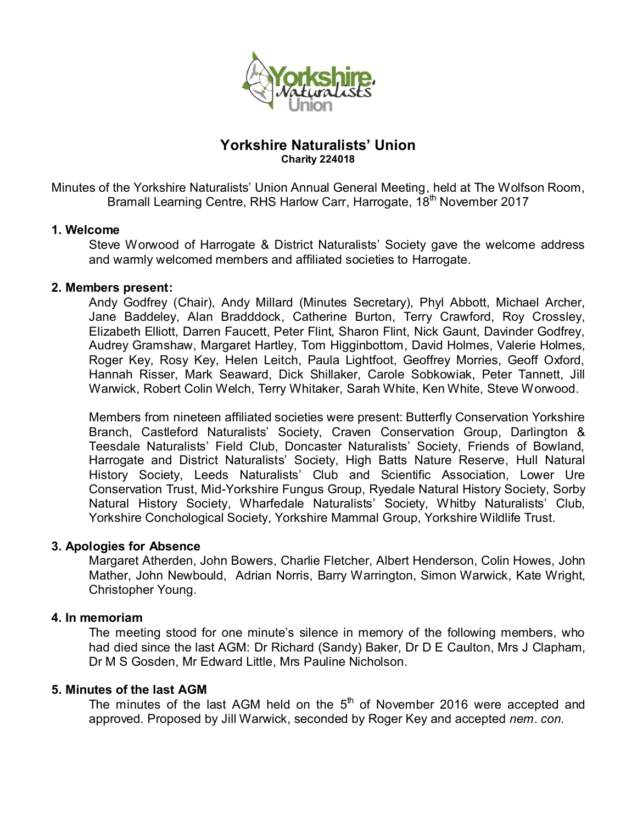

# **Yorkshire Naturalists' Union Charity 224018**

Minutes of the Yorkshire Naturalists' Union Annual General Meeting, held at The Wolfson Room, Bramall Learning Centre, RHS Harlow Carr, Harrogate, 18<sup>th</sup> November 2017

# **1. Welcome**

Steve Worwood of Harrogate & District Naturalists' Society gave the welcome address and warmly welcomed members and affiliated societies to Harrogate.

# **2. Members present:**

Andy Godfrey (Chair), Andy Millard (Minutes Secretary), Phyl Abbott, Michael Archer, Jane Baddeley, Alan Bradddock, Catherine Burton, Terry Crawford, Roy Crossley, Elizabeth Elliott, Darren Faucett, Peter Flint, Sharon Flint, Nick Gaunt, Davinder Godfrey, Audrey Gramshaw, Margaret Hartley, Tom Higginbottom, David Holmes, Valerie Holmes, Roger Key, Rosy Key, Helen Leitch, Paula Lightfoot, Geoffrey Morries, Geoff Oxford, Hannah Risser, Mark Seaward, Dick Shillaker, Carole Sobkowiak, Peter Tannett, Jill Warwick, Robert Colin Welch, Terry Whitaker, Sarah White, Ken White, Steve Worwood.

Members from nineteen affiliated societies were present: Butterfly Conservation Yorkshire Branch, Castleford Naturalists' Society, Craven Conservation Group, Darlington & Teesdale Naturalists' Field Club, Doncaster Naturalists' Society, Friends of Bowland, Harrogate and District Naturalists' Society, High Batts Nature Reserve, Hull Natural History Society, Leeds Naturalists' Club and Scientific Association, Lower Ure Conservation Trust, Mid-Yorkshire Fungus Group, Ryedale Natural History Society, Sorby Natural History Society, Wharfedale Naturalists' Society, Whitby Naturalists' Club, Yorkshire Conchological Society, Yorkshire Mammal Group, Yorkshire Wildlife Trust.

### **3. Apologies for Absence**

Margaret Atherden, John Bowers, Charlie Fletcher, Albert Henderson, Colin Howes, John Mather, John Newbould, Adrian Norris, Barry Warrington, Simon Warwick, Kate Wright, Christopher Young.

# **4. In memoriam**

The meeting stood for one minute's silence in memory of the following members, who had died since the last AGM: Dr Richard (Sandy) Baker, Dr D E Caulton, Mrs J Clapham, Dr M S Gosden, Mr Edward Little, Mrs Pauline Nicholson.

### **5. Minutes of the last AGM**

The minutes of the last AGM held on the  $5<sup>th</sup>$  of November 2016 were accepted and approved. Proposed by Jill Warwick, seconded by Roger Key and accepted *nem*. *con.*